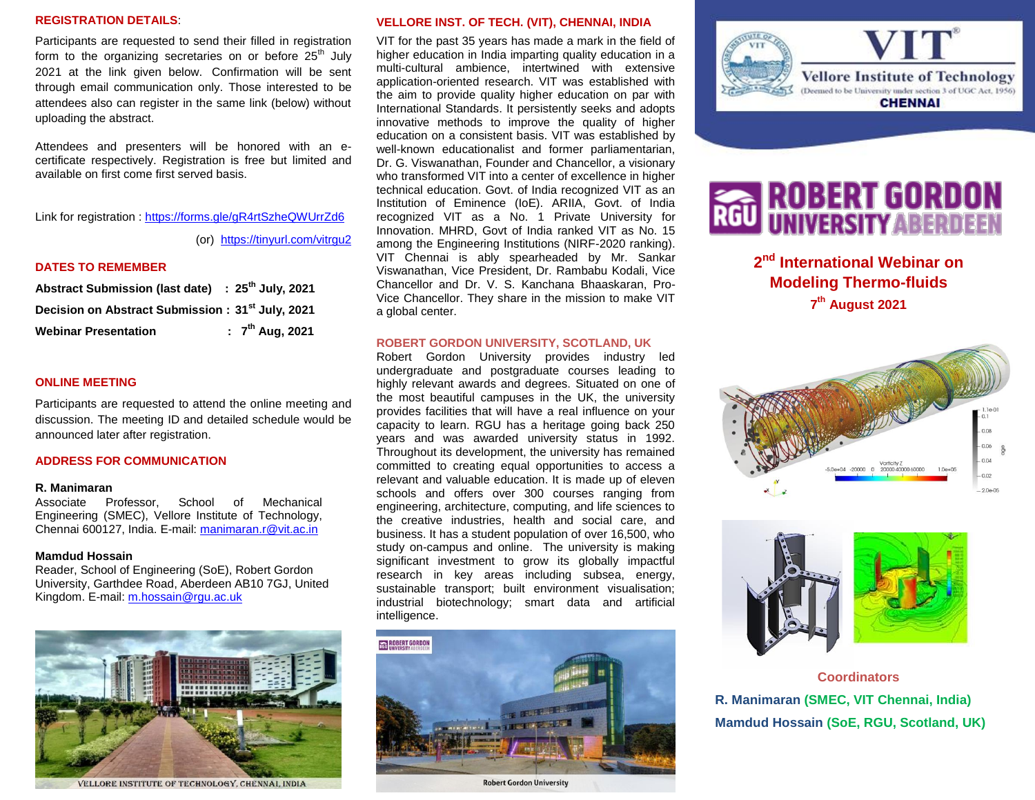### **REGISTRATION DETAILS**:

Participants are requested to send their filled in registration form to the organizing secretaries on or before  $25<sup>th</sup>$  July 2021 at the link given below. Confirmation will be sent through email communication only. Those interested to be attendees also can register in the same link (below) without uploading the abstract.

Attendees and presenters will be honored with an ecertificate respectively. Registration is free but limited and available on first come first served basis.

Link for registration :<https://forms.gle/gR4rtSzheQWUrrZd6>

(or) <https://tinyurl.com/vitrgu2>

### **DATES TO REMEMBER**

| Abstract Submission (last date) : 25 <sup>th</sup> July, 2021 |                      |
|---------------------------------------------------------------|----------------------|
| Decision on Abstract Submission: 31 <sup>st</sup> July, 2021  |                      |
| <b>Webinar Presentation</b>                                   | : $7^{th}$ Aug, 2021 |

### **ONLINE MEETING**

Participants are requested to attend the online meeting and discussion. The meeting ID and detailed schedule would be announced later after registration.

### **ADDRESS FOR COMMUNICATION**

### **R. Manimaran**

Associate Professor, School of Mechanical Engineering (SMEC), Vellore Institute of Technology, Chennai 600127, India. E-mail: [manimaran.r@vit.ac.in](file:///C:/Users/ensmh/AppData/Local/Microsoft/Windows/INetCache/Content.Outlook/WS1RKI29/manimaran.r@vit.ac.in)

### **Mamdud Hossain**

Reader, School of Engineering (SoE), Robert Gordon University, Garthdee Road, Aberdeen AB10 7GJ, United Kingdom. E-mail: [m.hossain@rgu.ac.uk](mailto:m.hossain@rgu.ac.uk)



VELLORE INSTITUTE OF TECHNOLOGY, CHENNAI, INDIA

### **VELLORE INST. OF TECH. (VIT), CHENNAI, INDIA**

VIT for the past 35 years has made a mark in the field of higher education in India imparting quality education in a multi-cultural ambience, intertwined with extensive application-oriented research. VIT was established with the aim to provide quality higher education on par with International Standards. It persistently seeks and adopts innovative methods to improve the quality of higher education on a consistent basis. VIT was established by well-known educationalist and former parliamentarian, Dr. G. Viswanathan, Founder and Chancellor, a visionary who transformed VIT into a center of excellence in higher technical education. Govt. of India recognized VIT as an Institution of Eminence (IoE). ARIIA, Govt. of India recognized VIT as a No. 1 Private University for Innovation. MHRD, Govt of India ranked VIT as No. 15 among the Engineering Institutions (NIRF-2020 ranking). VIT Chennai is ably spearheaded by Mr. Sankar Viswanathan, Vice President, Dr. Rambabu Kodali, Vice Chancellor and Dr. V. S. Kanchana Bhaaskaran, Pro-Vice Chancellor. They share in the mission to make VIT a global center.

### **ROBERT GORDON UNIVERSITY, SCOTLAND, UK**

Robert Gordon University provides industry led undergraduate and postgraduate courses leading to highly relevant awards and degrees. Situated on one of the most beautiful campuses in the UK, the university provides facilities that will have a real influence on your capacity to learn. RGU has a heritage going back 250 years and was awarded university status in 1992. Throughout its development, the university has remained committed to creating equal opportunities to access a relevant and valuable education. It is made up of eleven schools and offers over 300 courses ranging from engineering, architecture, computing, and life sciences to the creative industries, health and social care, and business. It has a student population of over 16,500, who study on-campus and online. The university is making significant investment to grow its globally impactful research in key areas including subsea, energy, sustainable transport; built environment visualisation; industrial biotechnology; smart data and artificial intelligence.



**Robert Gordon University** 



## **EXAMPLE ROBERT GORDON**<br>RCU UNIVERSITY ABERDEEN

**2 nd International Webinar on Modeling Thermo-fluids 7 th August 2021**





**Coordinators R. Manimaran (SMEC, VIT Chennai, India) Mamdud Hossain (SoE, RGU, Scotland, UK)**